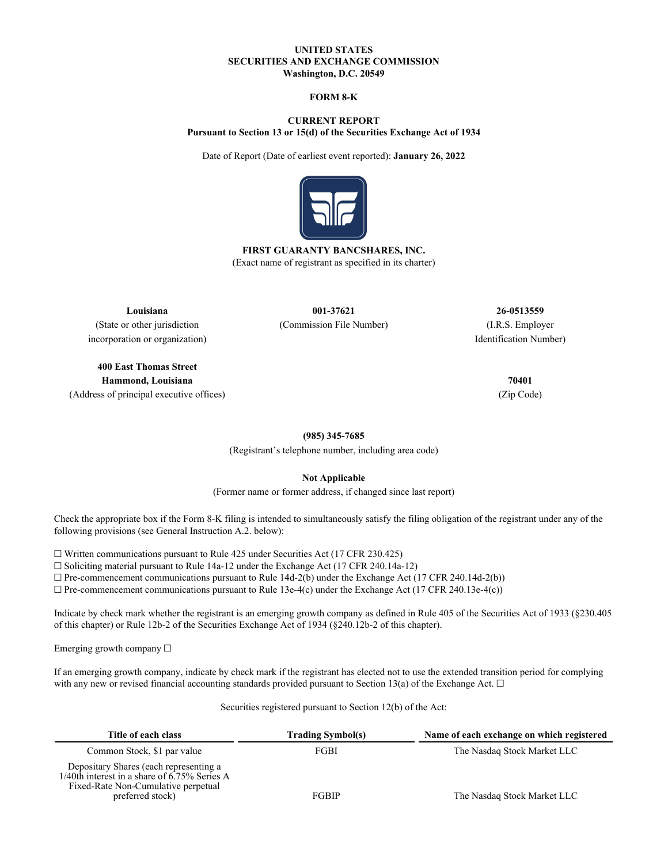### **UNITED STATES SECURITIES AND EXCHANGE COMMISSION Washington, D.C. 20549**

### **FORM 8-K**

### **CURRENT REPORT Pursuant to Section 13 or 15(d) of the Securities Exchange Act of 1934**

Date of Report (Date of earliest event reported): **January 26, 2022**



**FIRST GUARANTY BANCSHARES, INC.** (Exact name of registrant as specified in its charter)

**Louisiana 001-37621 26-0513559** (State or other jurisdiction (Commission File Number) (I.R.S. Employer incorporation or organization) and incorporation or organization (i.e.,  $\sim$  10.000  $\mu$  10.000  $\mu$  10.000  $\mu$  10.000  $\mu$  10.000  $\mu$  10.000  $\mu$  10.000  $\mu$  10.000  $\mu$  10.000  $\mu$  10.000  $\mu$  10.000  $\mu$  10.000  $\mu$  1

**400 East Thomas Street Hammond, Louisiana 70401** (Address of principal executive offices) (Zip Code)

**(985) 345-7685**

(Registrant's telephone number, including area code)

**Not Applicable**

(Former name or former address, if changed since last report)

Check the appropriate box if the Form 8-K filing is intended to simultaneously satisfy the filing obligation of the registrant under any of the following provisions (see General Instruction A.2. below):

☐ Written communications pursuant to Rule 425 under Securities Act (17 CFR 230.425)

 $\Box$  Soliciting material pursuant to Rule 14a-12 under the Exchange Act (17 CFR 240.14a-12)

 $\Box$  Pre-commencement communications pursuant to Rule 14d-2(b) under the Exchange Act (17 CFR 240.14d-2(b))

 $\Box$  Pre-commencement communications pursuant to Rule 13e-4(c) under the Exchange Act (17 CFR 240.13e-4(c))

Indicate by check mark whether the registrant is an emerging growth company as defined in Rule 405 of the Securities Act of 1933 (§230.405 of this chapter) or Rule 12b-2 of the Securities Exchange Act of 1934 (§240.12b-2 of this chapter).

Emerging growth company ☐

If an emerging growth company, indicate by check mark if the registrant has elected not to use the extended transition period for complying with any new or revised financial accounting standards provided pursuant to Section 13(a) of the Exchange Act.  $\Box$ 

Securities registered pursuant to Section 12(b) of the Act:

| Title of each class                                                                                                                                  | <b>Trading Symbol(s)</b> | Name of each exchange on which registered |
|------------------------------------------------------------------------------------------------------------------------------------------------------|--------------------------|-------------------------------------------|
| Common Stock, \$1 par value                                                                                                                          | <b>FGBI</b>              | The Nasdaq Stock Market LLC               |
| Depositary Shares (each representing a<br>$1/40$ th interest in a share of 6.75% Series A<br>Fixed-Rate Non-Cumulative perpetual<br>preferred stock) | <b>FGBIP</b>             | The Nasdaq Stock Market LLC               |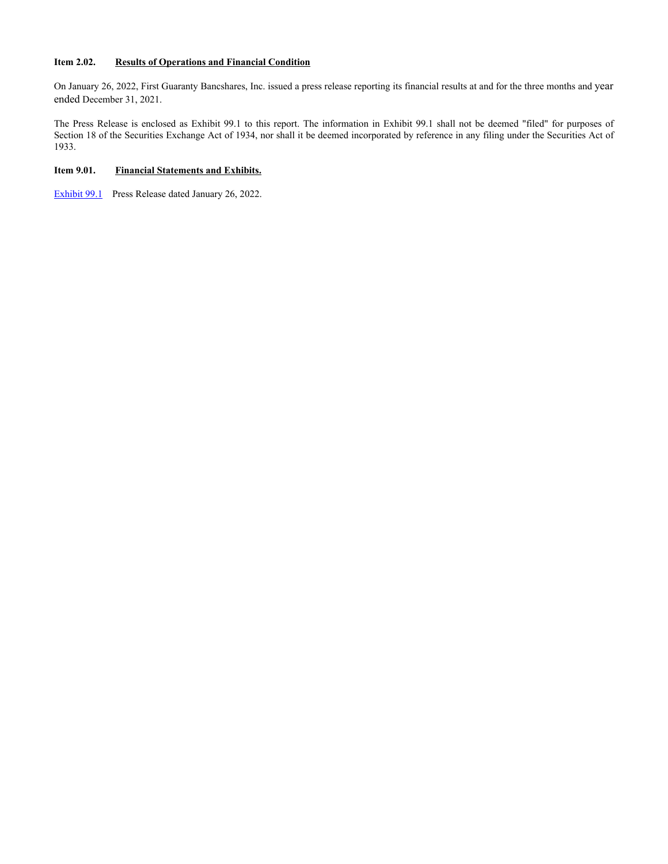## **Item 2.02. Results of Operations and Financial Condition**

On January 26, 2022, First Guaranty Bancshares, Inc. issued a press release reporting its financial results at and for the three months and year ended December 31, 2021.

The Press Release is enclosed as Exhibit 99.1 to this report. The information in Exhibit 99.1 shall not be deemed "filed" for purposes of Section 18 of the Securities Exchange Act of 1934, nor shall it be deemed incorporated by reference in any filing under the Securities Act of 1933.

# **Item 9.01. Financial Statements and Exhibits.**

[Exhibit 99.1](#page-4-0) Press Release dated January 26, 2022.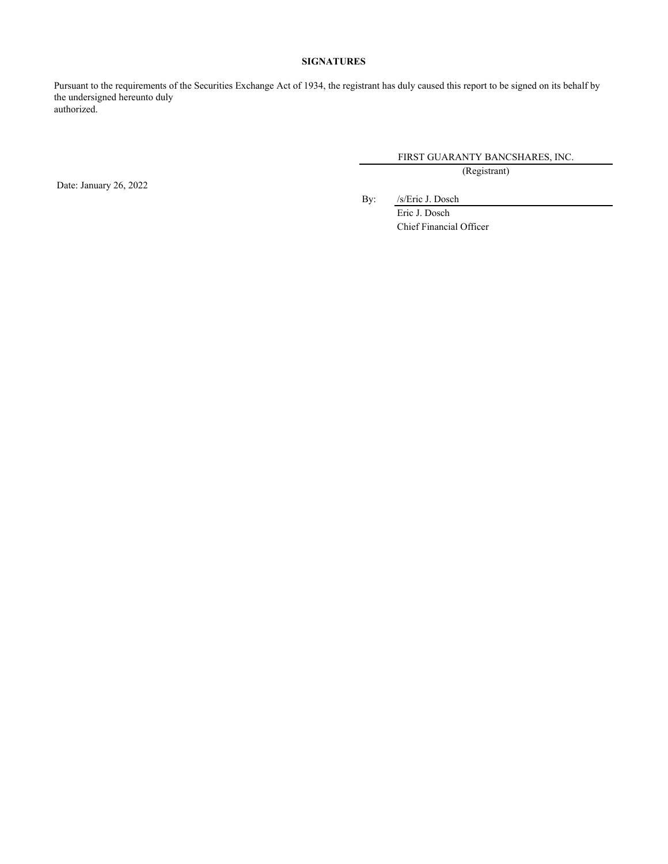## **SIGNATURES**

Pursuant to the requirements of the Securities Exchange Act of 1934, the registrant has duly caused this report to be signed on its behalf by the undersigned hereunto duly authorized.

FIRST GUARANTY BANCSHARES, INC.

(Registrant)

Date: January 26, 2022

By: /s/Eric J. Dosch

Eric J. Dosch Chief Financial Officer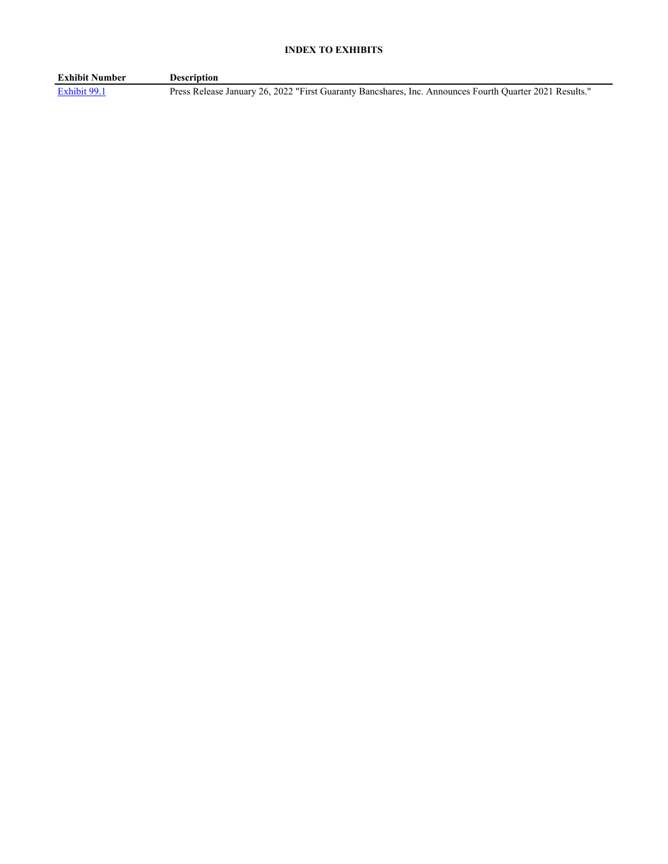## **INDEX TO EXHIBITS**

| <b>Exhibit Number</b> | <b>Description</b>                                                                                      |
|-----------------------|---------------------------------------------------------------------------------------------------------|
| Exhibit 99.1          | Press Release January 26, 2022 "First Guaranty Bancshares, Inc. Announces Fourth Quarter 2021 Results." |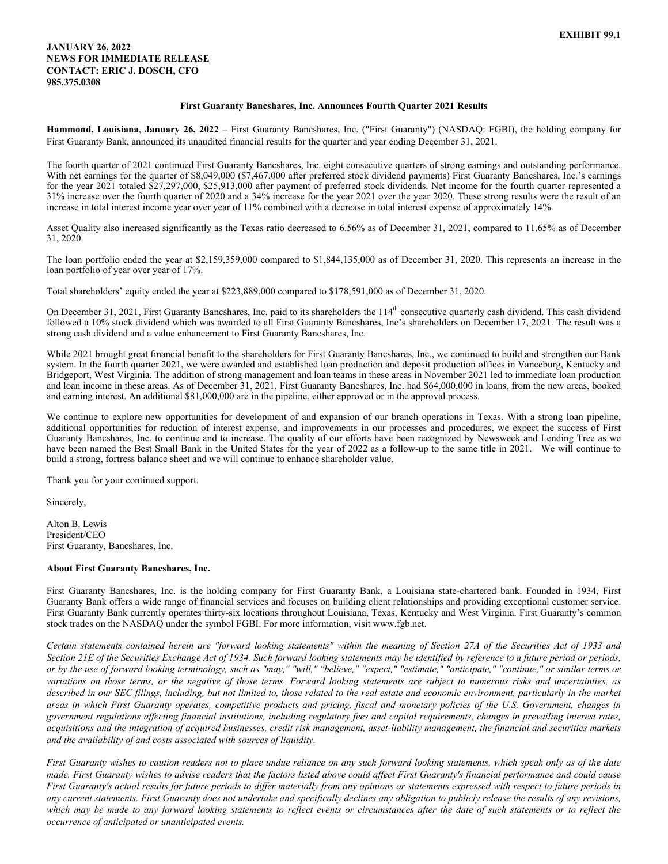## <span id="page-4-0"></span>**JANUARY 26, 2022 NEWS FOR IMMEDIATE RELEASE CONTACT: ERIC J. DOSCH, CFO 985.375.0308**

### **First Guaranty Bancshares, Inc. Announces Fourth Quarter 2021 Results**

**Hammond, Louisiana**, **January 26, 2022** – First Guaranty Bancshares, Inc. ("First Guaranty") (NASDAQ: FGBI), the holding company for First Guaranty Bank, announced its unaudited financial results for the quarter and year ending December 31, 2021.

The fourth quarter of 2021 continued First Guaranty Bancshares, Inc. eight consecutive quarters of strong earnings and outstanding performance. With net earnings for the quarter of \$8,049,000 (\$7,467,000 after preferred stock dividend payments) First Guaranty Bancshares, Inc.'s earnings for the year 2021 totaled \$27,297,000, \$25,913,000 after payment of preferred stock dividends. Net income for the fourth quarter represented a 31% increase over the fourth quarter of 2020 and a 34% increase for the year 2021 over the year 2020. These strong results were the result of an increase in total interest income year over year of 11% combined with a decrease in total interest expense of approximately 14%.

Asset Quality also increased significantly as the Texas ratio decreased to 6.56% as of December 31, 2021, compared to 11.65% as of December 31, 2020.

The loan portfolio ended the year at \$2,159,359,000 compared to \$1,844,135,000 as of December 31, 2020. This represents an increase in the loan portfolio of year over year of 17%.

Total shareholders' equity ended the year at \$223,889,000 compared to \$178,591,000 as of December 31, 2020.

On December 31, 2021, First Guaranty Bancshares, Inc. paid to its shareholders the 114<sup>th</sup> consecutive quarterly cash dividend. This cash dividend followed a 10% stock dividend which was awarded to all First Guaranty Bancshares, Inc's shareholders on December 17, 2021. The result was a strong cash dividend and a value enhancement to First Guaranty Bancshares, Inc.

While 2021 brought great financial benefit to the shareholders for First Guaranty Bancshares, Inc., we continued to build and strengthen our Bank system. In the fourth quarter 2021, we were awarded and established loan production and deposit production offices in Vanceburg, Kentucky and Bridgeport, West Virginia. The addition of strong management and loan teams in these areas in November 2021 led to immediate loan production and loan income in these areas. As of December 31, 2021, First Guaranty Bancshares, Inc. had \$64,000,000 in loans, from the new areas, booked and earning interest. An additional \$81,000,000 are in the pipeline, either approved or in the approval process.

We continue to explore new opportunities for development of and expansion of our branch operations in Texas. With a strong loan pipeline, additional opportunities for reduction of interest expense, and improvements in our processes and procedures, we expect the success of First Guaranty Bancshares, Inc. to continue and to increase. The quality of our efforts have been recognized by Newsweek and Lending Tree as we have been named the Best Small Bank in the United States for the year of 2022 as a follow-up to the same title in 2021. We will continue to build a strong, fortress balance sheet and we will continue to enhance shareholder value.

Thank you for your continued support.

Sincerely,

Alton B. Lewis President/CEO First Guaranty, Bancshares, Inc.

#### **About First Guaranty Bancshares, Inc.**

First Guaranty Bancshares, Inc. is the holding company for First Guaranty Bank, a Louisiana state-chartered bank. Founded in 1934, First Guaranty Bank offers a wide range of financial services and focuses on building client relationships and providing exceptional customer service. First Guaranty Bank currently operates thirty-six locations throughout Louisiana, Texas, Kentucky and West Virginia. First Guaranty's common stock trades on the NASDAQ under the symbol FGBI. For more information, visit www.fgb.net.

*Certain statements contained herein are "forward looking statements" within the meaning of Section 27A of the Securities Act of 1933 and Section 21E of the Securities Exchange Act of 1934. Such forward looking statements may be identified by reference to a future period or periods, or by the use of forward looking terminology, such as "may," "will," "believe," "expect," "estimate," "anticipate," "continue," or similar terms or variations on those terms, or the negative of those terms. Forward looking statements are subject to numerous risks and uncertainties, as*  described in our SEC filings, including, but not limited to, those related to the real estate and economic environment, particularly in the market *areas in which First Guaranty operates, competitive products and pricing, fiscal and monetary policies of the U.S. Government, changes in government regulations affecting financial institutions, including regulatory fees and capital requirements, changes in prevailing interest rates, acquisitions and the integration of acquired businesses, credit risk management, asset-liability management, the financial and securities markets and the availability of and costs associated with sources of liquidity.*

*First Guaranty wishes to caution readers not to place undue reliance on any such forward looking statements, which speak only as of the date made. First Guaranty wishes to advise readers that the factors listed above could affect First Guaranty's financial performance and could cause First Guaranty's actual results for future periods to differ materially from any opinions or statements expressed with respect to future periods in any current statements. First Guaranty does not undertake and specifically declines any obligation to publicly release the results of any revisions, which may be made to any forward looking statements to reflect events or circumstances after the date of such statements or to reflect the occurrence of anticipated or unanticipated events.*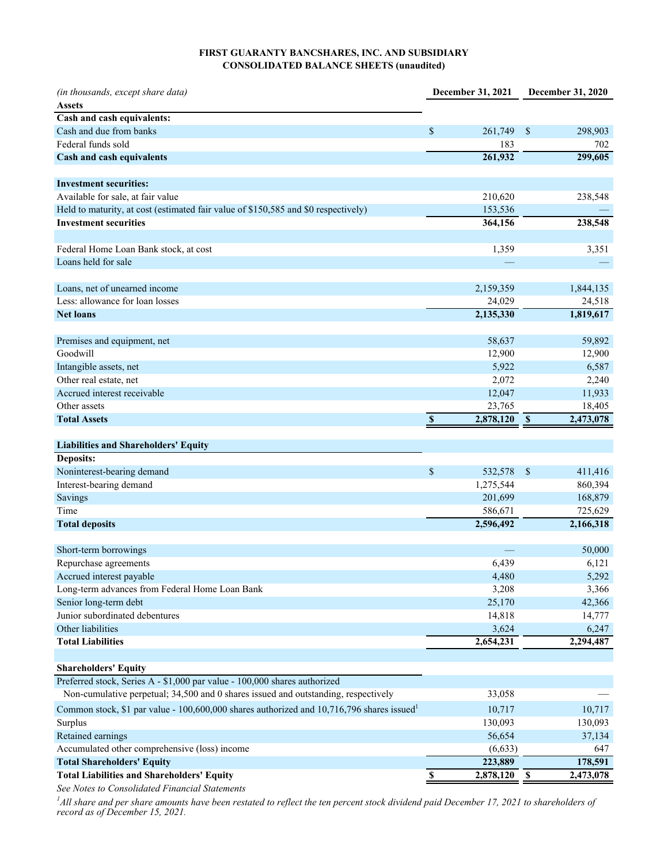# **FIRST GUARANTY BANCSHARES, INC. AND SUBSIDIARY CONSOLIDATED BALANCE SHEETS (unaudited)**

| (in thousands, except share data)                                                                         |                  | December 31, 2021 |                           | December 31, 2020 |
|-----------------------------------------------------------------------------------------------------------|------------------|-------------------|---------------------------|-------------------|
| <b>Assets</b>                                                                                             |                  |                   |                           |                   |
| Cash and cash equivalents:                                                                                |                  |                   |                           |                   |
| Cash and due from banks                                                                                   | $\$$             | 261,749           | \$                        | 298,903           |
| Federal funds sold                                                                                        |                  | 183               |                           | 702               |
| Cash and cash equivalents                                                                                 |                  | 261,932           |                           | 299,605           |
|                                                                                                           |                  |                   |                           |                   |
| <b>Investment securities:</b>                                                                             |                  |                   |                           |                   |
| Available for sale, at fair value                                                                         |                  | 210,620           |                           | 238,548           |
| Held to maturity, at cost (estimated fair value of \$150,585 and \$0 respectively)                        |                  | 153,536           |                           |                   |
| <b>Investment securities</b>                                                                              |                  | 364,156           |                           | 238,548           |
| Federal Home Loan Bank stock, at cost                                                                     |                  | 1,359             |                           | 3,351             |
| Loans held for sale                                                                                       |                  |                   |                           |                   |
|                                                                                                           |                  |                   |                           |                   |
| Loans, net of unearned income                                                                             |                  | 2,159,359         |                           | 1,844,135         |
| Less: allowance for loan losses                                                                           |                  | 24,029            |                           | 24,518            |
| <b>Net loans</b>                                                                                          |                  | 2,135,330         |                           | 1,819,617         |
| Premises and equipment, net                                                                               |                  | 58,637            |                           | 59,892            |
| Goodwill                                                                                                  |                  | 12,900            |                           | 12,900            |
| Intangible assets, net                                                                                    |                  | 5,922             |                           | 6,587             |
| Other real estate, net                                                                                    |                  | 2,072             |                           | 2,240             |
| Accrued interest receivable                                                                               |                  | 12,047            |                           | 11,933            |
| Other assets                                                                                              |                  | 23,765            |                           | 18,405            |
| <b>Total Assets</b>                                                                                       | $\boldsymbol{s}$ | 2,878,120         | $\boldsymbol{\mathsf{s}}$ | 2,473,078         |
|                                                                                                           |                  |                   |                           |                   |
| <b>Liabilities and Shareholders' Equity</b>                                                               |                  |                   |                           |                   |
| <b>Deposits:</b>                                                                                          |                  |                   |                           |                   |
| Noninterest-bearing demand                                                                                | \$               | 532,578           | <sup>\$</sup>             | 411,416           |
| Interest-bearing demand                                                                                   |                  | 1,275,544         |                           | 860,394           |
| Savings                                                                                                   |                  | 201,699           |                           | 168,879           |
| Time                                                                                                      |                  | 586,671           |                           | 725,629           |
| <b>Total deposits</b>                                                                                     |                  | 2,596,492         |                           | 2,166,318         |
| Short-term borrowings                                                                                     |                  |                   |                           | 50,000            |
| Repurchase agreements                                                                                     |                  | 6,439             |                           | 6,121             |
| Accrued interest payable                                                                                  |                  | 4,480             |                           | 5,292             |
| Long-term advances from Federal Home Loan Bank                                                            |                  | 3,208             |                           | 3,366             |
| Senior long-term debt                                                                                     |                  | 25,170            |                           | 42,366            |
| Junior subordinated debentures                                                                            |                  | 14,818            |                           | 14,777            |
| Other liabilities                                                                                         |                  | 3,624             |                           | 6,247             |
| <b>Total Liabilities</b>                                                                                  |                  | 2,654,231         |                           | 2,294,487         |
|                                                                                                           |                  |                   |                           |                   |
| <b>Shareholders' Equity</b>                                                                               |                  |                   |                           |                   |
| Preferred stock, Series A - \$1,000 par value - 100,000 shares authorized                                 |                  |                   |                           |                   |
| Non-cumulative perpetual; 34,500 and 0 shares issued and outstanding, respectively                        |                  | 33,058            |                           |                   |
| Common stock, \$1 par value - $100,600,000$ shares authorized and $10,716,796$ shares issued <sup>1</sup> |                  | 10,717            |                           | 10,717            |
| Surplus                                                                                                   |                  | 130,093           |                           | 130,093           |
| Retained earnings                                                                                         |                  | 56,654            |                           | 37,134            |
| Accumulated other comprehensive (loss) income                                                             |                  | (6, 633)          |                           | 647               |
| <b>Total Shareholders' Equity</b>                                                                         |                  | 223,889           |                           | 178,591           |
| <b>Total Liabilities and Shareholders' Equity</b>                                                         | $\mathbf{s}$     | 2,878,120         | -S                        | 2,473,078         |
| See Notes to Consolidated Financial Statements                                                            |                  |                   |                           |                   |

<sup>*1</sup>All share and per share amounts have been restated to reflect the ten percent stock dividend paid December 17, 2021 to shareholders of</sup> record as of December 15, 2021.*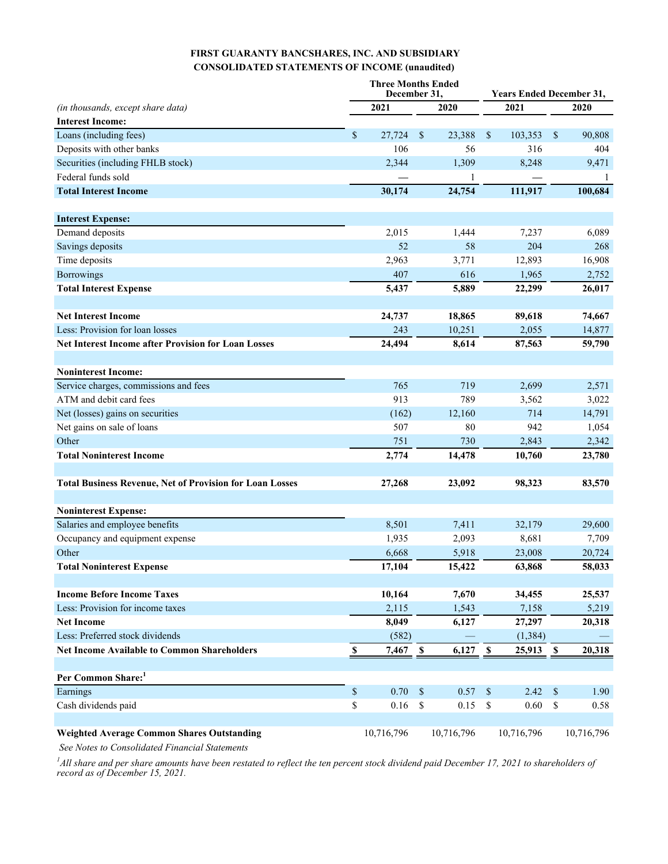# **FIRST GUARANTY BANCSHARES, INC. AND SUBSIDIARY CONSOLIDATED STATEMENTS OF INCOME (unaudited)**

|                                                                 |                           | <b>Three Months Ended</b><br>December 31, |                           |            | <b>Years Ended December 31,</b> |                 |             |            |  |  |  |
|-----------------------------------------------------------------|---------------------------|-------------------------------------------|---------------------------|------------|---------------------------------|-----------------|-------------|------------|--|--|--|
| (in thousands, except share data)                               |                           | 2021                                      |                           | 2020       |                                 | 2021            |             | 2020       |  |  |  |
| <b>Interest Income:</b>                                         |                           |                                           |                           |            |                                 |                 |             |            |  |  |  |
| Loans (including fees)                                          | \$                        | 27,724                                    | $\boldsymbol{\mathsf{S}}$ | 23,388     | \$                              | 103,353         | \$          | 90,808     |  |  |  |
| Deposits with other banks                                       |                           | 106                                       |                           | 56         |                                 | 316             |             | 404        |  |  |  |
| Securities (including FHLB stock)                               |                           | 2,344                                     |                           | 1,309      |                                 | 8,248           |             | 9,471      |  |  |  |
| Federal funds sold                                              |                           |                                           |                           |            |                                 |                 |             | -1         |  |  |  |
| <b>Total Interest Income</b>                                    |                           | 30,174                                    |                           | 24,754     |                                 | 111,917         |             | 100,684    |  |  |  |
|                                                                 |                           |                                           |                           |            |                                 |                 |             |            |  |  |  |
| <b>Interest Expense:</b>                                        |                           |                                           |                           |            |                                 |                 |             |            |  |  |  |
| Demand deposits                                                 |                           | 2,015                                     |                           | 1,444      |                                 | 7,237           |             | 6,089      |  |  |  |
| Savings deposits                                                |                           | 52                                        |                           | 58         |                                 | 204             |             | 268        |  |  |  |
| Time deposits                                                   |                           | 2,963                                     |                           | 3,771      |                                 | 12,893          |             | 16,908     |  |  |  |
| Borrowings                                                      |                           | 407                                       |                           | 616        |                                 | 1,965           |             | 2,752      |  |  |  |
| <b>Total Interest Expense</b>                                   |                           | 5,437                                     |                           | 5,889      |                                 | 22,299          |             | 26,017     |  |  |  |
|                                                                 |                           |                                           |                           |            |                                 |                 |             |            |  |  |  |
| <b>Net Interest Income</b>                                      |                           | 24,737                                    |                           | 18,865     |                                 | 89,618          |             | 74,667     |  |  |  |
| Less: Provision for loan losses                                 |                           | 243                                       |                           | 10,251     |                                 | 2,055           |             | 14,877     |  |  |  |
| Net Interest Income after Provision for Loan Losses             |                           | 24,494                                    |                           | 8,614      |                                 | 87,563          |             | 59,790     |  |  |  |
|                                                                 |                           |                                           |                           |            |                                 |                 |             |            |  |  |  |
| <b>Noninterest Income:</b>                                      |                           |                                           |                           |            |                                 |                 |             |            |  |  |  |
| Service charges, commissions and fees                           |                           | 765                                       |                           | 719        |                                 | 2,699           |             | 2,571      |  |  |  |
| ATM and debit card fees                                         |                           | 913                                       |                           | 789        |                                 | 3,562           |             | 3,022      |  |  |  |
| Net (losses) gains on securities                                |                           | (162)                                     |                           | 12,160     |                                 | 714             |             | 14,791     |  |  |  |
| Net gains on sale of loans                                      |                           | 507                                       |                           | 80         |                                 | 942             |             | 1,054      |  |  |  |
| Other                                                           |                           | 751                                       |                           | 730        |                                 | 2,843           |             | 2,342      |  |  |  |
| <b>Total Noninterest Income</b>                                 |                           | 2,774                                     |                           | 14,478     |                                 | 10,760          |             | 23,780     |  |  |  |
|                                                                 |                           |                                           |                           |            |                                 |                 |             |            |  |  |  |
| <b>Total Business Revenue, Net of Provision for Loan Losses</b> |                           | 27,268                                    |                           | 23,092     |                                 | 98,323          |             | 83,570     |  |  |  |
|                                                                 |                           |                                           |                           |            |                                 |                 |             |            |  |  |  |
| <b>Noninterest Expense:</b>                                     |                           |                                           |                           |            |                                 |                 |             |            |  |  |  |
| Salaries and employee benefits                                  |                           | 8,501                                     |                           | 7,411      |                                 | 32,179          |             | 29,600     |  |  |  |
| Occupancy and equipment expense                                 |                           | 1,935                                     |                           | 2,093      |                                 | 8,681           |             | 7,709      |  |  |  |
| Other                                                           |                           | 6,668                                     |                           | 5,918      |                                 | 23,008          |             | 20,724     |  |  |  |
| <b>Total Noninterest Expense</b>                                |                           | 17,104                                    |                           | 15,422     |                                 | 63,868          |             | 58,033     |  |  |  |
| <b>Income Before Income Taxes</b>                               |                           | 10,164                                    |                           | 7,670      |                                 |                 |             |            |  |  |  |
| Less: Provision for income taxes                                |                           |                                           |                           |            |                                 | 34,455<br>7,158 |             | 25,537     |  |  |  |
|                                                                 |                           | 2,115<br>8,049                            |                           | 1,543      |                                 |                 |             | 5,219      |  |  |  |
| <b>Net Income</b><br>Less: Preferred stock dividends            |                           | (582)                                     |                           | 6,127      |                                 | 27,297          |             | 20,318     |  |  |  |
| <b>Net Income Available to Common Shareholders</b>              | $\boldsymbol{\mathsf{S}}$ | 7,467                                     | $\mathbf s$               | 6,127      | $\mathbb S$                     | (1, 384)        | $\mathbf s$ | 20,318     |  |  |  |
|                                                                 |                           |                                           |                           |            |                                 | 25,913          |             |            |  |  |  |
| Per Common Share:1                                              |                           |                                           |                           |            |                                 |                 |             |            |  |  |  |
| Earnings                                                        | \$                        | 0.70                                      | $\mathbb{S}$              | 0.57       | $\mathbb{S}$                    | 2.42            | \$          | 1.90       |  |  |  |
| Cash dividends paid                                             | \$                        | $0.16\,$                                  | $\mathbb{S}$              | 0.15       | $\$$                            | 0.60            | \$          | 0.58       |  |  |  |
|                                                                 |                           |                                           |                           |            |                                 |                 |             |            |  |  |  |
| <b>Weighted Average Common Shares Outstanding</b>               |                           | 10,716,796                                |                           | 10,716,796 |                                 | 10,716,796      |             | 10,716,796 |  |  |  |

 *See Notes to Consolidated Financial Statements* 

<sup>*1</sup>All share and per share amounts have been restated to reflect the ten percent stock dividend paid December 17, 2021 to shareholders of</sup> record as of December 15, 2021.*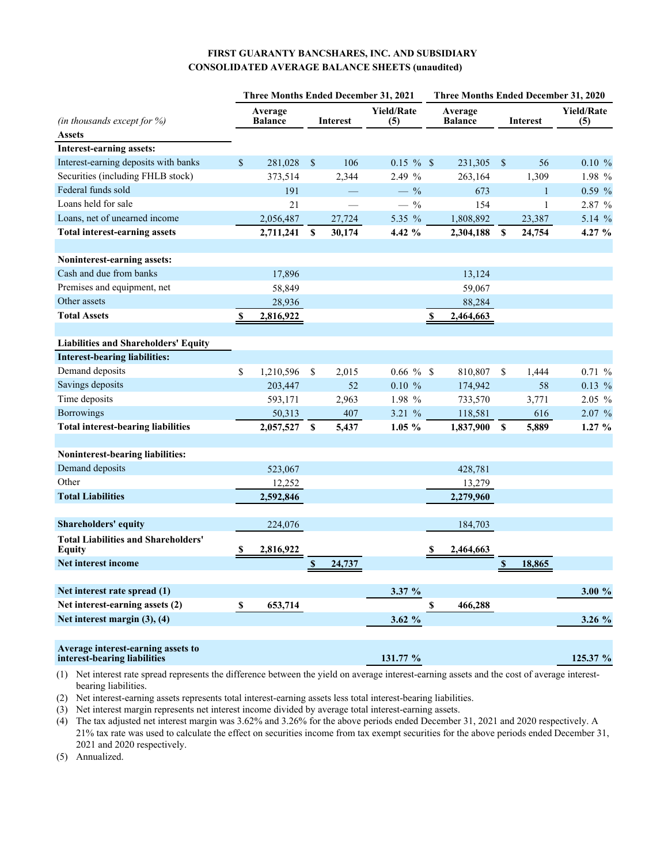# **FIRST GUARANTY BANCSHARES, INC. AND SUBSIDIARY CONSOLIDATED AVERAGE BALANCE SHEETS (unaudited)**

|                                             |              | <b>Three Months Ended December 31, 2021</b> |                           |          |                          |    | Three Months Ended December 31, 2020 |                    |                 |                          |  |  |
|---------------------------------------------|--------------|---------------------------------------------|---------------------------|----------|--------------------------|----|--------------------------------------|--------------------|-----------------|--------------------------|--|--|
| (in thousands except for $\%$ )             |              | Average<br><b>Balance</b>                   |                           | Interest | <b>Yield/Rate</b><br>(5) |    | Average<br><b>Balance</b>            |                    | <b>Interest</b> | <b>Yield/Rate</b><br>(5) |  |  |
| <b>Assets</b>                               |              |                                             |                           |          |                          |    |                                      |                    |                 |                          |  |  |
| Interest-earning assets:                    |              |                                             |                           |          |                          |    |                                      |                    |                 |                          |  |  |
| Interest-earning deposits with banks        | $\mathbb{S}$ | 281,028                                     | $\mathbb{S}$              | 106      | $0.15 \%$ \$             |    | 231,305                              | $\mathbf{\hat{s}}$ | 56              | $0.10 \%$                |  |  |
| Securities (including FHLB stock)           |              | 373,514                                     |                           | 2,344    | 2.49 %                   |    | 263,164                              |                    | 1,309           | 1.98 %                   |  |  |
| Federal funds sold                          |              | 191                                         |                           |          | $-$ %                    |    | 673                                  |                    | $\mathbf{1}$    | 0.59%                    |  |  |
| Loans held for sale                         |              | 21                                          |                           |          | $-$ %                    |    | 154                                  |                    | $\mathbf{1}$    | 2.87 %                   |  |  |
| Loans, net of unearned income               |              | 2,056,487                                   |                           | 27,724   | 5.35 %                   |    | 1,808,892                            |                    | 23,387          | 5.14 %                   |  |  |
| <b>Total interest-earning assets</b>        |              | 2,711,241                                   | \$                        | 30,174   | 4.42 %                   |    | 2,304,188                            | <b>S</b>           | 24,754          | 4.27 %                   |  |  |
|                                             |              |                                             |                           |          |                          |    |                                      |                    |                 |                          |  |  |
| Noninterest-earning assets:                 |              |                                             |                           |          |                          |    |                                      |                    |                 |                          |  |  |
| Cash and due from banks                     |              | 17,896                                      |                           |          |                          |    | 13,124                               |                    |                 |                          |  |  |
| Premises and equipment, net                 |              | 58,849                                      |                           |          |                          |    | 59,067                               |                    |                 |                          |  |  |
| Other assets                                |              | 28,936                                      |                           |          |                          |    | 88,284                               |                    |                 |                          |  |  |
| <b>Total Assets</b>                         | S            | 2,816,922                                   |                           |          |                          | S  | 2,464,663                            |                    |                 |                          |  |  |
|                                             |              |                                             |                           |          |                          |    |                                      |                    |                 |                          |  |  |
| <b>Liabilities and Shareholders' Equity</b> |              |                                             |                           |          |                          |    |                                      |                    |                 |                          |  |  |
| <b>Interest-bearing liabilities:</b>        |              |                                             |                           |          |                          |    |                                      |                    |                 |                          |  |  |
| Demand deposits                             | \$           | 1,210,596                                   | \$                        | 2,015    | $0.66 \%$ \$             |    | 810,807                              | <sup>\$</sup>      | 1,444           | 0.71%                    |  |  |
| Savings deposits                            |              | 203,447                                     |                           | 52       | $0.10 \%$                |    | 174,942                              |                    | 58              | $0.13\%$                 |  |  |
| Time deposits                               |              | 593,171                                     |                           | 2,963    | 1.98 %                   |    | 733,570                              |                    | 3,771           | 2.05 %                   |  |  |
| <b>Borrowings</b>                           |              | 50,313                                      |                           | 407      | 3.21%                    |    | 118,581                              |                    | 616             | 2.07 %                   |  |  |
| <b>Total interest-bearing liabilities</b>   |              | 2,057,527                                   | \$                        | 5,437    | $1.05\%$                 |    | 1,837,900                            | $\mathbf{s}$       | 5,889           | 1.27%                    |  |  |
|                                             |              |                                             |                           |          |                          |    |                                      |                    |                 |                          |  |  |
| Noninterest-bearing liabilities:            |              |                                             |                           |          |                          |    |                                      |                    |                 |                          |  |  |
| Demand deposits                             |              | 523,067                                     |                           |          |                          |    | 428,781                              |                    |                 |                          |  |  |
| Other                                       |              | 12,252                                      |                           |          |                          |    | 13,279                               |                    |                 |                          |  |  |
| <b>Total Liabilities</b>                    |              | 2,592,846                                   |                           |          |                          |    | 2,279,960                            |                    |                 |                          |  |  |
|                                             |              |                                             |                           |          |                          |    |                                      |                    |                 |                          |  |  |
| <b>Shareholders' equity</b>                 |              | 224,076                                     |                           |          |                          |    | 184,703                              |                    |                 |                          |  |  |
| <b>Total Liabilities and Shareholders'</b>  |              |                                             |                           |          |                          |    |                                      |                    |                 |                          |  |  |
| <b>Equity</b>                               | S            | 2,816,922                                   |                           |          |                          |    | 2,464,663                            |                    |                 |                          |  |  |
| <b>Net interest income</b>                  |              |                                             | $\boldsymbol{\mathsf{s}}$ | 24,737   |                          |    |                                      | $\mathbf{s}$       | 18,865          |                          |  |  |
|                                             |              |                                             |                           |          |                          |    |                                      |                    |                 |                          |  |  |
| Net interest rate spread (1)                |              |                                             |                           |          | 3.37%                    |    |                                      |                    |                 | $3.00 \%$                |  |  |
| Net interest-earning assets (2)             | $\mathbb S$  | 653,714                                     |                           |          |                          | \$ | 466,288                              |                    |                 |                          |  |  |
| Net interest margin $(3)$ , $(4)$           |              |                                             |                           |          | 3.62%                    |    |                                      |                    |                 | 3.26 %                   |  |  |
|                                             |              |                                             |                           |          |                          |    |                                      |                    |                 |                          |  |  |
| Average interest-earning assets to          |              |                                             |                           |          |                          |    |                                      |                    |                 |                          |  |  |
| interest-bearing liabilities                |              |                                             |                           |          | 131.77 %                 |    |                                      |                    |                 | 125.37 %                 |  |  |

(1) Net interest rate spread represents the difference between the yield on average interest-earning assets and the cost of average interestbearing liabilities.

(2) Net interest-earning assets represents total interest-earning assets less total interest-bearing liabilities.

(3) Net interest margin represents net interest income divided by average total interest-earning assets.

(4) The tax adjusted net interest margin was 3.62% and 3.26% for the above periods ended December 31, 2021 and 2020 respectively. A 21% tax rate was used to calculate the effect on securities income from tax exempt securities for the above periods ended December 31, 2021 and 2020 respectively.

(5) Annualized.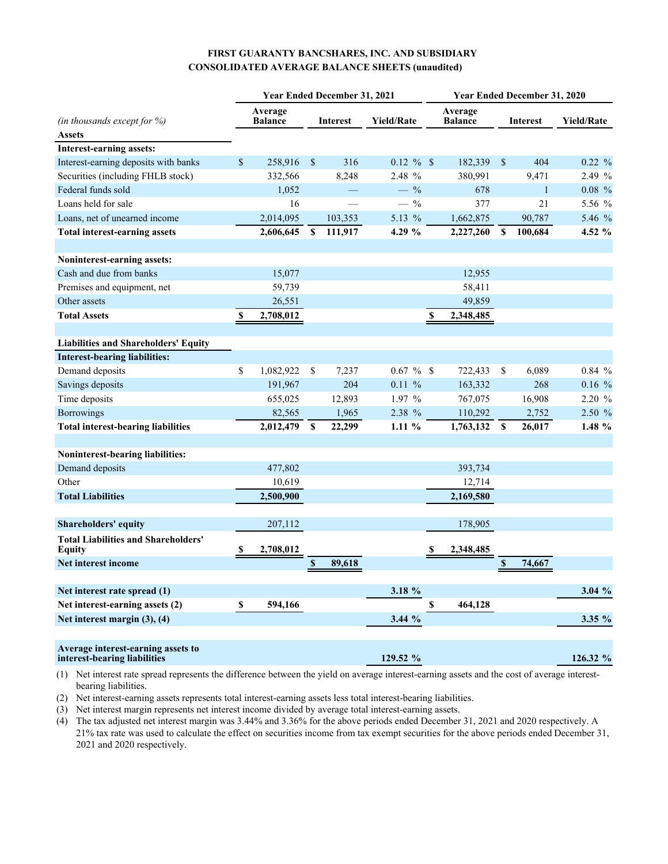# **FIRST GUARANTY BANCSHARES, INC. AND SUBSIDIARY CONSOLIDATED AVERAGE BALANCE SHEETS (unaudited)**

|                                                                    | Year Ended December 31, 2021 |                           |              |                 | <b>Year Ended December 31, 2020</b> |                           |           |               |              |                   |  |
|--------------------------------------------------------------------|------------------------------|---------------------------|--------------|-----------------|-------------------------------------|---------------------------|-----------|---------------|--------------|-------------------|--|
| (in thousands except for $\%$ )                                    |                              | Average<br><b>Balance</b> |              | <b>Interest</b> | <b>Yield/Rate</b>                   | Average<br><b>Balance</b> |           | Interest      |              | <b>Yield/Rate</b> |  |
| <b>Assets</b>                                                      |                              |                           |              |                 |                                     |                           |           |               |              |                   |  |
| Interest-earning assets:                                           |                              |                           |              |                 |                                     |                           |           |               |              |                   |  |
| Interest-earning deposits with banks                               | $\mathbb{S}$                 | 258,916                   | $\mathbb{S}$ | 316             | $0.12 \%$ \$                        |                           | 182,339   | $\mathbb{S}$  | 404          | $0.22 \%$         |  |
| Securities (including FHLB stock)                                  |                              | 332,566                   |              | 8,248           | 2.48 %                              |                           | 380,991   |               | 9,471        | 2.49 %            |  |
| Federal funds sold                                                 |                              | 1,052                     |              |                 | $-$ %                               |                           | 678       |               | $\mathbf{1}$ | $0.08\%$          |  |
| Loans held for sale                                                |                              | 16                        |              |                 | $-$ %                               |                           | 377       |               | 21           | 5.56 %            |  |
| Loans, net of unearned income                                      |                              | 2,014,095                 |              | 103,353         | 5.13 %                              |                           | 1,662,875 |               | 90,787       | 5.46 %            |  |
| <b>Total interest-earning assets</b>                               |                              | 2,606,645                 | S            | 111,917         | 4.29 $%$                            |                           | 2,227,260 | S             | 100,684      | 4.52 %            |  |
|                                                                    |                              |                           |              |                 |                                     |                           |           |               |              |                   |  |
| Noninterest-earning assets:                                        |                              |                           |              |                 |                                     |                           |           |               |              |                   |  |
| Cash and due from banks                                            |                              | 15,077                    |              |                 |                                     |                           | 12,955    |               |              |                   |  |
| Premises and equipment, net                                        |                              | 59,739                    |              |                 |                                     |                           | 58,411    |               |              |                   |  |
| Other assets                                                       |                              | 26,551                    |              |                 |                                     |                           | 49,859    |               |              |                   |  |
| <b>Total Assets</b>                                                | S                            | 2,708,012                 |              |                 |                                     | \$                        | 2,348,485 |               |              |                   |  |
|                                                                    |                              |                           |              |                 |                                     |                           |           |               |              |                   |  |
| <b>Liabilities and Shareholders' Equity</b>                        |                              |                           |              |                 |                                     |                           |           |               |              |                   |  |
| <b>Interest-bearing liabilities:</b>                               |                              |                           |              |                 |                                     |                           |           |               |              |                   |  |
| Demand deposits                                                    | \$                           | 1,082,922                 | \$           | 7,237           | $0.67 \%$ \$                        |                           | 722,433   | <sup>\$</sup> | 6,089        | $0.84\%$          |  |
| Savings deposits                                                   |                              | 191,967                   |              | 204             | $0.11 \%$                           |                           | 163,332   |               | 268          | $0.16\%$          |  |
| Time deposits                                                      |                              | 655,025                   |              | 12,893          | 1.97 %                              |                           | 767,075   |               | 16,908       | 2.20 %            |  |
| <b>Borrowings</b>                                                  |                              | 82,565                    |              | 1,965           | 2.38 %                              |                           | 110,292   |               | 2,752        | 2.50 %            |  |
| <b>Total interest-bearing liabilities</b>                          |                              | 2,012,479                 | S            | 22,299          | 1.11%                               |                           | 1,763,132 | - \$          | 26,017       | 1.48 %            |  |
|                                                                    |                              |                           |              |                 |                                     |                           |           |               |              |                   |  |
| Noninterest-bearing liabilities:                                   |                              |                           |              |                 |                                     |                           |           |               |              |                   |  |
| Demand deposits                                                    |                              | 477,802                   |              |                 |                                     |                           | 393,734   |               |              |                   |  |
| Other                                                              |                              | 10,619                    |              |                 |                                     |                           | 12,714    |               |              |                   |  |
| <b>Total Liabilities</b>                                           |                              | 2,500,900                 |              |                 |                                     |                           | 2,169,580 |               |              |                   |  |
|                                                                    |                              |                           |              |                 |                                     |                           |           |               |              |                   |  |
| <b>Shareholders' equity</b>                                        |                              | 207,112                   |              |                 |                                     |                           | 178,905   |               |              |                   |  |
| <b>Total Liabilities and Shareholders'</b><br><b>Equity</b>        | S                            | 2,708,012                 |              |                 |                                     | S                         | 2,348,485 |               |              |                   |  |
| Net interest income                                                |                              |                           | \$           | 89,618          |                                     |                           |           | S             | 74,667       |                   |  |
|                                                                    |                              |                           |              |                 |                                     |                           |           |               |              |                   |  |
| Net interest rate spread (1)                                       |                              |                           |              |                 | 3.18 %                              |                           |           |               |              | 3.04%             |  |
| Net interest-earning assets (2)                                    | $\mathbb S$                  | 594,166                   |              |                 |                                     | \$                        | 464,128   |               |              |                   |  |
| Net interest margin $(3)$ , $(4)$                                  |                              |                           |              |                 | 3.44 %                              |                           |           |               |              | 3.35 %            |  |
|                                                                    |                              |                           |              |                 |                                     |                           |           |               |              |                   |  |
| Average interest-earning assets to<br>interest-bearing liabilities |                              |                           |              |                 | 129.52 %                            |                           |           |               |              | 126.32 %          |  |

(1) Net interest rate spread represents the difference between the yield on average interest-earning assets and the cost of average interestbearing liabilities.

(2) Net interest-earning assets represents total interest-earning assets less total interest-bearing liabilities.

(3) Net interest margin represents net interest income divided by average total interest-earning assets.

(4) The tax adjusted net interest margin was 3.44% and 3.36% for the above periods ended December 31, 2021 and 2020 respectively. A 21% tax rate was used to calculate the effect on securities income from tax exempt securities for the above periods ended December 31, 2021 and 2020 respectively.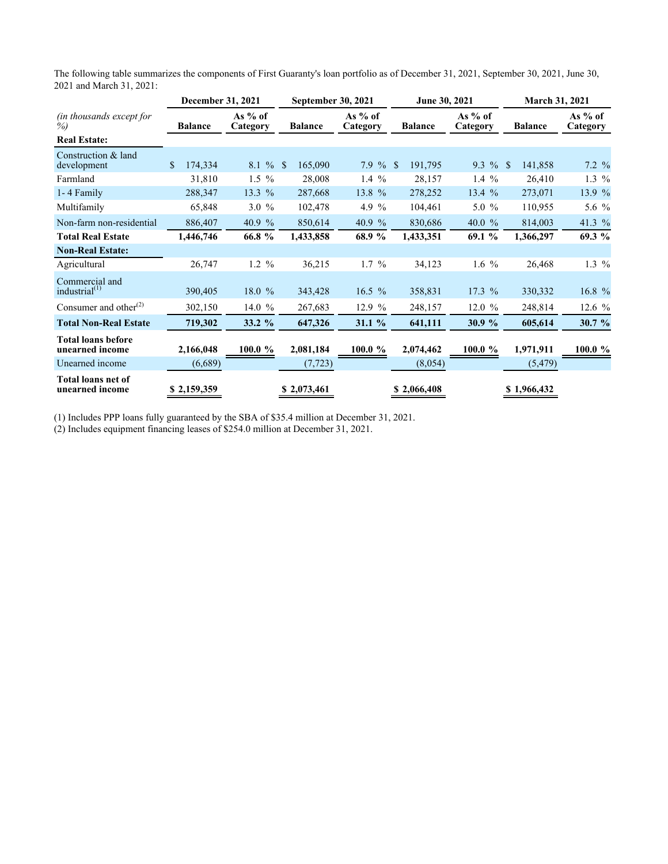The following table summarizes the components of First Guaranty's loan portfolio as of December 31, 2021, September 30, 2021, June 30, 2021 and March 31, 2021:

|                                              | December 31, 2021 |                       | <b>September 30, 2021</b> |                       | <b>June 30, 2021</b> |                       | <b>March 31, 2021</b>   |                       |  |  |
|----------------------------------------------|-------------------|-----------------------|---------------------------|-----------------------|----------------------|-----------------------|-------------------------|-----------------------|--|--|
| (in thousands except for<br>$\frac{6}{2}$    | <b>Balance</b>    | As $%$ of<br>Category | <b>Balance</b>            | As $%$ of<br>Category | <b>Balance</b>       | As $%$ of<br>Category | <b>Balance</b>          | As $%$ of<br>Category |  |  |
| <b>Real Estate:</b>                          |                   |                       |                           |                       |                      |                       |                         |                       |  |  |
| Construction & land<br>development           | 174,334<br>\$     | $8.1 \%$ \$           | 165,090                   | $7.9 \%$ \$           | 191,795              | $9.3\%$               | $\mathbf{s}$<br>141,858 | 7.2 %                 |  |  |
| Farmland                                     | 31,810            | $1.5 \%$              | 28,008                    | 1.4 $%$               | 28,157               | 1.4 $%$               | 26,410                  | 1.3 %                 |  |  |
| 1-4 Family                                   | 288,347           | 13.3 %                | 287,668                   | 13.8 %                | 278,252              | 13.4 %                | 273,071                 | 13.9 %                |  |  |
| Multifamily                                  | 65,848            | 3.0%                  | 102,478                   | 4.9 %                 | 104,461              | 5.0 %                 | 110,955                 | 5.6 %                 |  |  |
| Non-farm non-residential                     | 886,407           | 40.9 %                | 850,614                   | 40.9 %                | 830,686              | 40.0 %                | 814,003                 | 41.3 %                |  |  |
| <b>Total Real Estate</b>                     | 1,446,746         | 66.8 %                | 1,433,858                 | 68.9 %                | 1,433,351            | 69.1 %                | 1,366,297               | 69.3 %                |  |  |
| <b>Non-Real Estate:</b>                      |                   |                       |                           |                       |                      |                       |                         |                       |  |  |
| Agricultural                                 | 26,747            | 1.2 $%$               | 36,215                    | $1.7 \%$              | 34,123               | 1.6 $%$               | 26,468                  | $1.3\%$               |  |  |
| Commercial and<br>industrial <sup>(1)</sup>  | 390,405           | 18.0 %                | 343,428                   | 16.5 $%$              | 358,831              | 17.3 %                | 330,332                 | 16.8 %                |  |  |
| Consumer and other $^{(2)}$                  | 302,150           | 14.0 $%$              | 267,683                   | 12.9%                 | 248,157              | 12.0%                 | 248,814                 | 12.6 %                |  |  |
| <b>Total Non-Real Estate</b>                 | 719,302           | 33.2 %                | 647,326                   | 31.1%                 | 641,111              | 30.9%                 | 605,614                 | $30.7 \%$             |  |  |
| <b>Total loans before</b><br>unearned income | 2,166,048         | 100.0 %               | 2,081,184                 | 100.0 %               | 2,074,462            | $100.0 \%$            | 1,971,911               | 100.0 %               |  |  |
| Unearned income                              | (6,689)           |                       | (7, 723)                  |                       | (8,054)              |                       | (5, 479)                |                       |  |  |
| Total loans net of<br>unearned income        | \$2,159,359       |                       | \$2,073,461               |                       | \$2,066,408          |                       | \$1,966,432             |                       |  |  |

(1) Includes PPP loans fully guaranteed by the SBA of \$35.4 million at December 31, 2021.

(2) Includes equipment financing leases of \$254.0 million at December 31, 2021.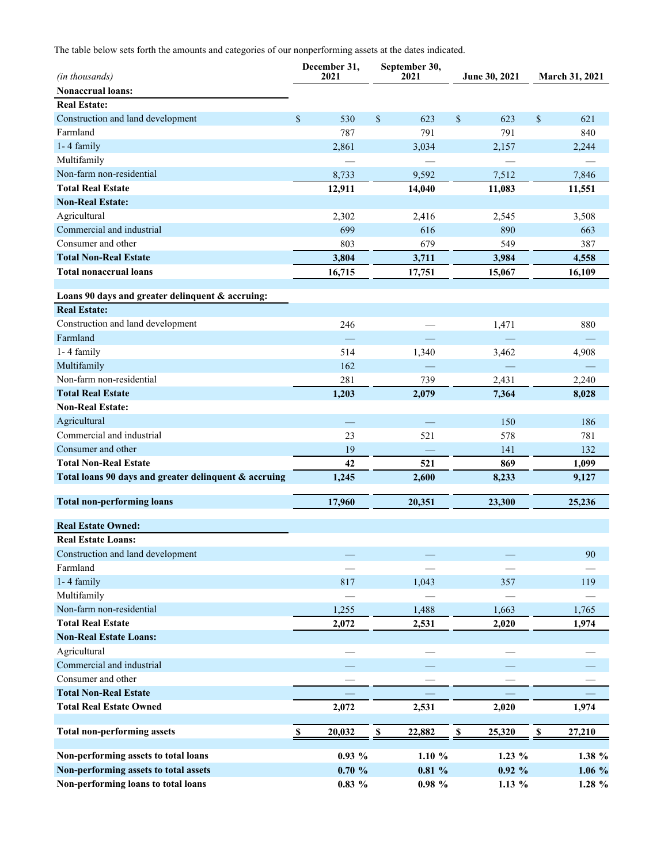The table below sets forth the amounts and categories of our nonperforming assets at the dates indicated.

| <b>Nonaccrual loans:</b><br><b>Real Estate:</b><br>\$<br>$\$$<br>Construction and land development<br>\$<br>\$<br>530<br>623<br>623<br>621<br>Farmland<br>787<br>791<br>791<br>840<br>1-4 family<br>2,861<br>3,034<br>2,157<br>2,244<br>Multifamily<br>Non-farm non-residential<br>9,592<br>8,733<br>7,512<br>7,846<br><b>Total Real Estate</b><br>12,911<br>14,040<br>11,083<br>11,551<br><b>Non-Real Estate:</b><br>Agricultural<br>2,302<br>2,416<br>2,545<br>3,508<br>Commercial and industrial<br>699<br>616<br>890<br>663<br>Consumer and other<br>803<br>679<br>549<br>387<br><b>Total Non-Real Estate</b><br>3,804<br>3,711<br>3,984<br>4,558<br><b>Total nonaccrual loans</b><br>16,715<br>17,751<br>15,067<br>16,109<br>Loans 90 days and greater delinquent & accruing:<br><b>Real Estate:</b><br>Construction and land development<br>246<br>880<br>1,471<br>Farmland<br>1-4 family<br>514<br>3,462<br>4,908<br>1,340<br>Multifamily<br>162<br>Non-farm non-residential<br>281<br>739<br>2,431<br>2,240<br><b>Total Real Estate</b><br>1,203<br>2,079<br>7,364<br>8,028<br><b>Non-Real Estate:</b><br>Agricultural<br>150<br>186<br>Commercial and industrial<br>23<br>521<br>781<br>578<br>Consumer and other<br>19<br>132<br>141<br><b>Total Non-Real Estate</b><br>42<br>521<br>869<br>1,099<br>Total loans 90 days and greater delinquent & accruing<br>1,245<br>2,600<br>8,233<br>9,127<br><b>Total non-performing loans</b><br>17,960<br>20,351<br>23,300<br>25,236<br><b>Real Estate Owned:</b><br><b>Real Estate Loans:</b><br>Construction and land development<br>90<br>Farmland<br>1-4 family<br>1,043<br>817<br>357<br>119<br>Multifamily<br>Non-farm non-residential<br>1,255<br>1,488<br>1,663<br>1,765<br><b>Total Real Estate</b><br>2,072<br>2,531<br>2,020<br>1,974<br><b>Non-Real Estate Loans:</b><br>Agricultural<br>Commercial and industrial<br>Consumer and other | (in thousands) | December 31,<br>2021 | September 30,<br>2021 | June 30, 2021 | March 31, 2021 |
|-------------------------------------------------------------------------------------------------------------------------------------------------------------------------------------------------------------------------------------------------------------------------------------------------------------------------------------------------------------------------------------------------------------------------------------------------------------------------------------------------------------------------------------------------------------------------------------------------------------------------------------------------------------------------------------------------------------------------------------------------------------------------------------------------------------------------------------------------------------------------------------------------------------------------------------------------------------------------------------------------------------------------------------------------------------------------------------------------------------------------------------------------------------------------------------------------------------------------------------------------------------------------------------------------------------------------------------------------------------------------------------------------------------------------------------------------------------------------------------------------------------------------------------------------------------------------------------------------------------------------------------------------------------------------------------------------------------------------------------------------------------------------------------------------------------------------------------------------------------------------------------------------------|----------------|----------------------|-----------------------|---------------|----------------|
|                                                                                                                                                                                                                                                                                                                                                                                                                                                                                                                                                                                                                                                                                                                                                                                                                                                                                                                                                                                                                                                                                                                                                                                                                                                                                                                                                                                                                                                                                                                                                                                                                                                                                                                                                                                                                                                                                                       |                |                      |                       |               |                |
|                                                                                                                                                                                                                                                                                                                                                                                                                                                                                                                                                                                                                                                                                                                                                                                                                                                                                                                                                                                                                                                                                                                                                                                                                                                                                                                                                                                                                                                                                                                                                                                                                                                                                                                                                                                                                                                                                                       |                |                      |                       |               |                |
|                                                                                                                                                                                                                                                                                                                                                                                                                                                                                                                                                                                                                                                                                                                                                                                                                                                                                                                                                                                                                                                                                                                                                                                                                                                                                                                                                                                                                                                                                                                                                                                                                                                                                                                                                                                                                                                                                                       |                |                      |                       |               |                |
|                                                                                                                                                                                                                                                                                                                                                                                                                                                                                                                                                                                                                                                                                                                                                                                                                                                                                                                                                                                                                                                                                                                                                                                                                                                                                                                                                                                                                                                                                                                                                                                                                                                                                                                                                                                                                                                                                                       |                |                      |                       |               |                |
|                                                                                                                                                                                                                                                                                                                                                                                                                                                                                                                                                                                                                                                                                                                                                                                                                                                                                                                                                                                                                                                                                                                                                                                                                                                                                                                                                                                                                                                                                                                                                                                                                                                                                                                                                                                                                                                                                                       |                |                      |                       |               |                |
|                                                                                                                                                                                                                                                                                                                                                                                                                                                                                                                                                                                                                                                                                                                                                                                                                                                                                                                                                                                                                                                                                                                                                                                                                                                                                                                                                                                                                                                                                                                                                                                                                                                                                                                                                                                                                                                                                                       |                |                      |                       |               |                |
|                                                                                                                                                                                                                                                                                                                                                                                                                                                                                                                                                                                                                                                                                                                                                                                                                                                                                                                                                                                                                                                                                                                                                                                                                                                                                                                                                                                                                                                                                                                                                                                                                                                                                                                                                                                                                                                                                                       |                |                      |                       |               |                |
|                                                                                                                                                                                                                                                                                                                                                                                                                                                                                                                                                                                                                                                                                                                                                                                                                                                                                                                                                                                                                                                                                                                                                                                                                                                                                                                                                                                                                                                                                                                                                                                                                                                                                                                                                                                                                                                                                                       |                |                      |                       |               |                |
|                                                                                                                                                                                                                                                                                                                                                                                                                                                                                                                                                                                                                                                                                                                                                                                                                                                                                                                                                                                                                                                                                                                                                                                                                                                                                                                                                                                                                                                                                                                                                                                                                                                                                                                                                                                                                                                                                                       |                |                      |                       |               |                |
|                                                                                                                                                                                                                                                                                                                                                                                                                                                                                                                                                                                                                                                                                                                                                                                                                                                                                                                                                                                                                                                                                                                                                                                                                                                                                                                                                                                                                                                                                                                                                                                                                                                                                                                                                                                                                                                                                                       |                |                      |                       |               |                |
|                                                                                                                                                                                                                                                                                                                                                                                                                                                                                                                                                                                                                                                                                                                                                                                                                                                                                                                                                                                                                                                                                                                                                                                                                                                                                                                                                                                                                                                                                                                                                                                                                                                                                                                                                                                                                                                                                                       |                |                      |                       |               |                |
|                                                                                                                                                                                                                                                                                                                                                                                                                                                                                                                                                                                                                                                                                                                                                                                                                                                                                                                                                                                                                                                                                                                                                                                                                                                                                                                                                                                                                                                                                                                                                                                                                                                                                                                                                                                                                                                                                                       |                |                      |                       |               |                |
|                                                                                                                                                                                                                                                                                                                                                                                                                                                                                                                                                                                                                                                                                                                                                                                                                                                                                                                                                                                                                                                                                                                                                                                                                                                                                                                                                                                                                                                                                                                                                                                                                                                                                                                                                                                                                                                                                                       |                |                      |                       |               |                |
|                                                                                                                                                                                                                                                                                                                                                                                                                                                                                                                                                                                                                                                                                                                                                                                                                                                                                                                                                                                                                                                                                                                                                                                                                                                                                                                                                                                                                                                                                                                                                                                                                                                                                                                                                                                                                                                                                                       |                |                      |                       |               |                |
|                                                                                                                                                                                                                                                                                                                                                                                                                                                                                                                                                                                                                                                                                                                                                                                                                                                                                                                                                                                                                                                                                                                                                                                                                                                                                                                                                                                                                                                                                                                                                                                                                                                                                                                                                                                                                                                                                                       |                |                      |                       |               |                |
|                                                                                                                                                                                                                                                                                                                                                                                                                                                                                                                                                                                                                                                                                                                                                                                                                                                                                                                                                                                                                                                                                                                                                                                                                                                                                                                                                                                                                                                                                                                                                                                                                                                                                                                                                                                                                                                                                                       |                |                      |                       |               |                |
|                                                                                                                                                                                                                                                                                                                                                                                                                                                                                                                                                                                                                                                                                                                                                                                                                                                                                                                                                                                                                                                                                                                                                                                                                                                                                                                                                                                                                                                                                                                                                                                                                                                                                                                                                                                                                                                                                                       |                |                      |                       |               |                |
|                                                                                                                                                                                                                                                                                                                                                                                                                                                                                                                                                                                                                                                                                                                                                                                                                                                                                                                                                                                                                                                                                                                                                                                                                                                                                                                                                                                                                                                                                                                                                                                                                                                                                                                                                                                                                                                                                                       |                |                      |                       |               |                |
|                                                                                                                                                                                                                                                                                                                                                                                                                                                                                                                                                                                                                                                                                                                                                                                                                                                                                                                                                                                                                                                                                                                                                                                                                                                                                                                                                                                                                                                                                                                                                                                                                                                                                                                                                                                                                                                                                                       |                |                      |                       |               |                |
|                                                                                                                                                                                                                                                                                                                                                                                                                                                                                                                                                                                                                                                                                                                                                                                                                                                                                                                                                                                                                                                                                                                                                                                                                                                                                                                                                                                                                                                                                                                                                                                                                                                                                                                                                                                                                                                                                                       |                |                      |                       |               |                |
|                                                                                                                                                                                                                                                                                                                                                                                                                                                                                                                                                                                                                                                                                                                                                                                                                                                                                                                                                                                                                                                                                                                                                                                                                                                                                                                                                                                                                                                                                                                                                                                                                                                                                                                                                                                                                                                                                                       |                |                      |                       |               |                |
|                                                                                                                                                                                                                                                                                                                                                                                                                                                                                                                                                                                                                                                                                                                                                                                                                                                                                                                                                                                                                                                                                                                                                                                                                                                                                                                                                                                                                                                                                                                                                                                                                                                                                                                                                                                                                                                                                                       |                |                      |                       |               |                |
|                                                                                                                                                                                                                                                                                                                                                                                                                                                                                                                                                                                                                                                                                                                                                                                                                                                                                                                                                                                                                                                                                                                                                                                                                                                                                                                                                                                                                                                                                                                                                                                                                                                                                                                                                                                                                                                                                                       |                |                      |                       |               |                |
|                                                                                                                                                                                                                                                                                                                                                                                                                                                                                                                                                                                                                                                                                                                                                                                                                                                                                                                                                                                                                                                                                                                                                                                                                                                                                                                                                                                                                                                                                                                                                                                                                                                                                                                                                                                                                                                                                                       |                |                      |                       |               |                |
|                                                                                                                                                                                                                                                                                                                                                                                                                                                                                                                                                                                                                                                                                                                                                                                                                                                                                                                                                                                                                                                                                                                                                                                                                                                                                                                                                                                                                                                                                                                                                                                                                                                                                                                                                                                                                                                                                                       |                |                      |                       |               |                |
|                                                                                                                                                                                                                                                                                                                                                                                                                                                                                                                                                                                                                                                                                                                                                                                                                                                                                                                                                                                                                                                                                                                                                                                                                                                                                                                                                                                                                                                                                                                                                                                                                                                                                                                                                                                                                                                                                                       |                |                      |                       |               |                |
|                                                                                                                                                                                                                                                                                                                                                                                                                                                                                                                                                                                                                                                                                                                                                                                                                                                                                                                                                                                                                                                                                                                                                                                                                                                                                                                                                                                                                                                                                                                                                                                                                                                                                                                                                                                                                                                                                                       |                |                      |                       |               |                |
|                                                                                                                                                                                                                                                                                                                                                                                                                                                                                                                                                                                                                                                                                                                                                                                                                                                                                                                                                                                                                                                                                                                                                                                                                                                                                                                                                                                                                                                                                                                                                                                                                                                                                                                                                                                                                                                                                                       |                |                      |                       |               |                |
|                                                                                                                                                                                                                                                                                                                                                                                                                                                                                                                                                                                                                                                                                                                                                                                                                                                                                                                                                                                                                                                                                                                                                                                                                                                                                                                                                                                                                                                                                                                                                                                                                                                                                                                                                                                                                                                                                                       |                |                      |                       |               |                |
|                                                                                                                                                                                                                                                                                                                                                                                                                                                                                                                                                                                                                                                                                                                                                                                                                                                                                                                                                                                                                                                                                                                                                                                                                                                                                                                                                                                                                                                                                                                                                                                                                                                                                                                                                                                                                                                                                                       |                |                      |                       |               |                |
|                                                                                                                                                                                                                                                                                                                                                                                                                                                                                                                                                                                                                                                                                                                                                                                                                                                                                                                                                                                                                                                                                                                                                                                                                                                                                                                                                                                                                                                                                                                                                                                                                                                                                                                                                                                                                                                                                                       |                |                      |                       |               |                |
|                                                                                                                                                                                                                                                                                                                                                                                                                                                                                                                                                                                                                                                                                                                                                                                                                                                                                                                                                                                                                                                                                                                                                                                                                                                                                                                                                                                                                                                                                                                                                                                                                                                                                                                                                                                                                                                                                                       |                |                      |                       |               |                |
|                                                                                                                                                                                                                                                                                                                                                                                                                                                                                                                                                                                                                                                                                                                                                                                                                                                                                                                                                                                                                                                                                                                                                                                                                                                                                                                                                                                                                                                                                                                                                                                                                                                                                                                                                                                                                                                                                                       |                |                      |                       |               |                |
|                                                                                                                                                                                                                                                                                                                                                                                                                                                                                                                                                                                                                                                                                                                                                                                                                                                                                                                                                                                                                                                                                                                                                                                                                                                                                                                                                                                                                                                                                                                                                                                                                                                                                                                                                                                                                                                                                                       |                |                      |                       |               |                |
|                                                                                                                                                                                                                                                                                                                                                                                                                                                                                                                                                                                                                                                                                                                                                                                                                                                                                                                                                                                                                                                                                                                                                                                                                                                                                                                                                                                                                                                                                                                                                                                                                                                                                                                                                                                                                                                                                                       |                |                      |                       |               |                |
|                                                                                                                                                                                                                                                                                                                                                                                                                                                                                                                                                                                                                                                                                                                                                                                                                                                                                                                                                                                                                                                                                                                                                                                                                                                                                                                                                                                                                                                                                                                                                                                                                                                                                                                                                                                                                                                                                                       |                |                      |                       |               |                |
|                                                                                                                                                                                                                                                                                                                                                                                                                                                                                                                                                                                                                                                                                                                                                                                                                                                                                                                                                                                                                                                                                                                                                                                                                                                                                                                                                                                                                                                                                                                                                                                                                                                                                                                                                                                                                                                                                                       |                |                      |                       |               |                |
|                                                                                                                                                                                                                                                                                                                                                                                                                                                                                                                                                                                                                                                                                                                                                                                                                                                                                                                                                                                                                                                                                                                                                                                                                                                                                                                                                                                                                                                                                                                                                                                                                                                                                                                                                                                                                                                                                                       |                |                      |                       |               |                |
|                                                                                                                                                                                                                                                                                                                                                                                                                                                                                                                                                                                                                                                                                                                                                                                                                                                                                                                                                                                                                                                                                                                                                                                                                                                                                                                                                                                                                                                                                                                                                                                                                                                                                                                                                                                                                                                                                                       |                |                      |                       |               |                |
|                                                                                                                                                                                                                                                                                                                                                                                                                                                                                                                                                                                                                                                                                                                                                                                                                                                                                                                                                                                                                                                                                                                                                                                                                                                                                                                                                                                                                                                                                                                                                                                                                                                                                                                                                                                                                                                                                                       |                |                      |                       |               |                |
|                                                                                                                                                                                                                                                                                                                                                                                                                                                                                                                                                                                                                                                                                                                                                                                                                                                                                                                                                                                                                                                                                                                                                                                                                                                                                                                                                                                                                                                                                                                                                                                                                                                                                                                                                                                                                                                                                                       |                |                      |                       |               |                |
|                                                                                                                                                                                                                                                                                                                                                                                                                                                                                                                                                                                                                                                                                                                                                                                                                                                                                                                                                                                                                                                                                                                                                                                                                                                                                                                                                                                                                                                                                                                                                                                                                                                                                                                                                                                                                                                                                                       |                |                      |                       |               |                |
|                                                                                                                                                                                                                                                                                                                                                                                                                                                                                                                                                                                                                                                                                                                                                                                                                                                                                                                                                                                                                                                                                                                                                                                                                                                                                                                                                                                                                                                                                                                                                                                                                                                                                                                                                                                                                                                                                                       |                |                      |                       |               |                |
|                                                                                                                                                                                                                                                                                                                                                                                                                                                                                                                                                                                                                                                                                                                                                                                                                                                                                                                                                                                                                                                                                                                                                                                                                                                                                                                                                                                                                                                                                                                                                                                                                                                                                                                                                                                                                                                                                                       |                |                      |                       |               |                |
| <b>Total Non-Real Estate</b>                                                                                                                                                                                                                                                                                                                                                                                                                                                                                                                                                                                                                                                                                                                                                                                                                                                                                                                                                                                                                                                                                                                                                                                                                                                                                                                                                                                                                                                                                                                                                                                                                                                                                                                                                                                                                                                                          |                |                      |                       |               |                |
| <b>Total Real Estate Owned</b><br>2,072<br>2,531<br>2,020<br>1,974                                                                                                                                                                                                                                                                                                                                                                                                                                                                                                                                                                                                                                                                                                                                                                                                                                                                                                                                                                                                                                                                                                                                                                                                                                                                                                                                                                                                                                                                                                                                                                                                                                                                                                                                                                                                                                    |                |                      |                       |               |                |
| <b>Total non-performing assets</b><br>$\pmb{\mathbb{S}}$<br>27,210<br>\$<br>20,032<br>\$<br>22,882<br>25,320<br>\$                                                                                                                                                                                                                                                                                                                                                                                                                                                                                                                                                                                                                                                                                                                                                                                                                                                                                                                                                                                                                                                                                                                                                                                                                                                                                                                                                                                                                                                                                                                                                                                                                                                                                                                                                                                    |                |                      |                       |               |                |
| Non-performing assets to total loans<br>$0.93\%$<br>1.38 %<br>$1.10 \%$<br>$1.23\%$                                                                                                                                                                                                                                                                                                                                                                                                                                                                                                                                                                                                                                                                                                                                                                                                                                                                                                                                                                                                                                                                                                                                                                                                                                                                                                                                                                                                                                                                                                                                                                                                                                                                                                                                                                                                                   |                |                      |                       |               |                |
| Non-performing assets to total assets<br>$0.70 \%$<br>0.81%<br>0.92%<br>$1.06\%$                                                                                                                                                                                                                                                                                                                                                                                                                                                                                                                                                                                                                                                                                                                                                                                                                                                                                                                                                                                                                                                                                                                                                                                                                                                                                                                                                                                                                                                                                                                                                                                                                                                                                                                                                                                                                      |                |                      |                       |               |                |
| Non-performing loans to total loans<br>$0.83\%$<br>$0.98 \%$<br>$1.28 \%$<br>$1.13\%$                                                                                                                                                                                                                                                                                                                                                                                                                                                                                                                                                                                                                                                                                                                                                                                                                                                                                                                                                                                                                                                                                                                                                                                                                                                                                                                                                                                                                                                                                                                                                                                                                                                                                                                                                                                                                 |                |                      |                       |               |                |